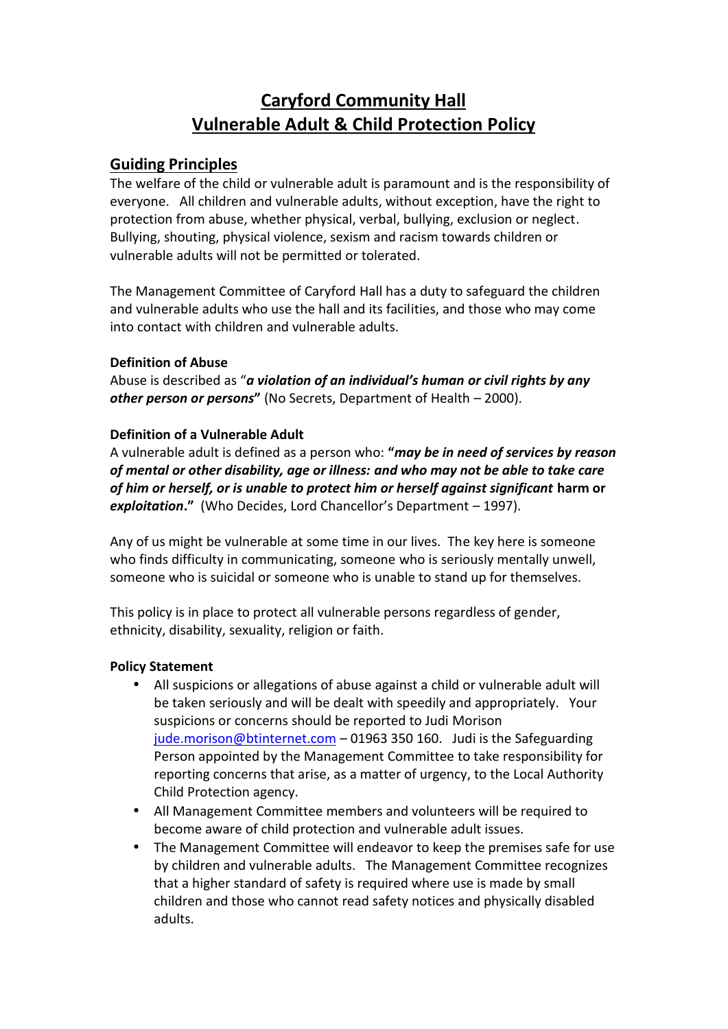# **Caryford Community Hall Vulnerable Adult & Child Protection Policy**

## **Guiding Principles**

The welfare of the child or vulnerable adult is paramount and is the responsibility of everyone. All children and vulnerable adults, without exception, have the right to protection from abuse, whether physical, verbal, bullying, exclusion or neglect. Bullying, shouting, physical violence, sexism and racism towards children or vulnerable adults will not be permitted or tolerated.

The Management Committee of Caryford Hall has a duty to safeguard the children and vulnerable adults who use the hall and its facilities, and those who may come into contact with children and vulnerable adults.

## **Definition of Abuse**

Abuse is described as "*a violation of an individual's human or civil rights by any other person or persons***"** (No Secrets, Department of Health – 2000).

## **Definition of a Vulnerable Adult**

A vulnerable adult is defined as a person who: **"***may be in need of services by reason of mental or other disability, age or illness: and who may not be able to take care of him or herself, or is unable to protect him or herself against significant* **harm or** *exploitation***."** (Who Decides, Lord Chancellor's Department – 1997).

Any of us might be vulnerable at some time in our lives. The key here is someone who finds difficulty in communicating, someone who is seriously mentally unwell, someone who is suicidal or someone who is unable to stand up for themselves.

This policy is in place to protect all vulnerable persons regardless of gender, ethnicity, disability, sexuality, religion or faith.

## **Policy Statement**

- All suspicions or allegations of abuse against a child or vulnerable adult will be taken seriously and will be dealt with speedily and appropriately. Your suspicions or concerns should be reported to Judi Morison jude.morison@btinternet.com – 01963 350 160. Judi is the Safeguarding Person appointed by the Management Committee to take responsibility for reporting concerns that arise, as a matter of urgency, to the Local Authority Child Protection agency.
- All Management Committee members and volunteers will be required to become aware of child protection and vulnerable adult issues.
- The Management Committee will endeavor to keep the premises safe for use by children and vulnerable adults. The Management Committee recognizes that a higher standard of safety is required where use is made by small children and those who cannot read safety notices and physically disabled adults.